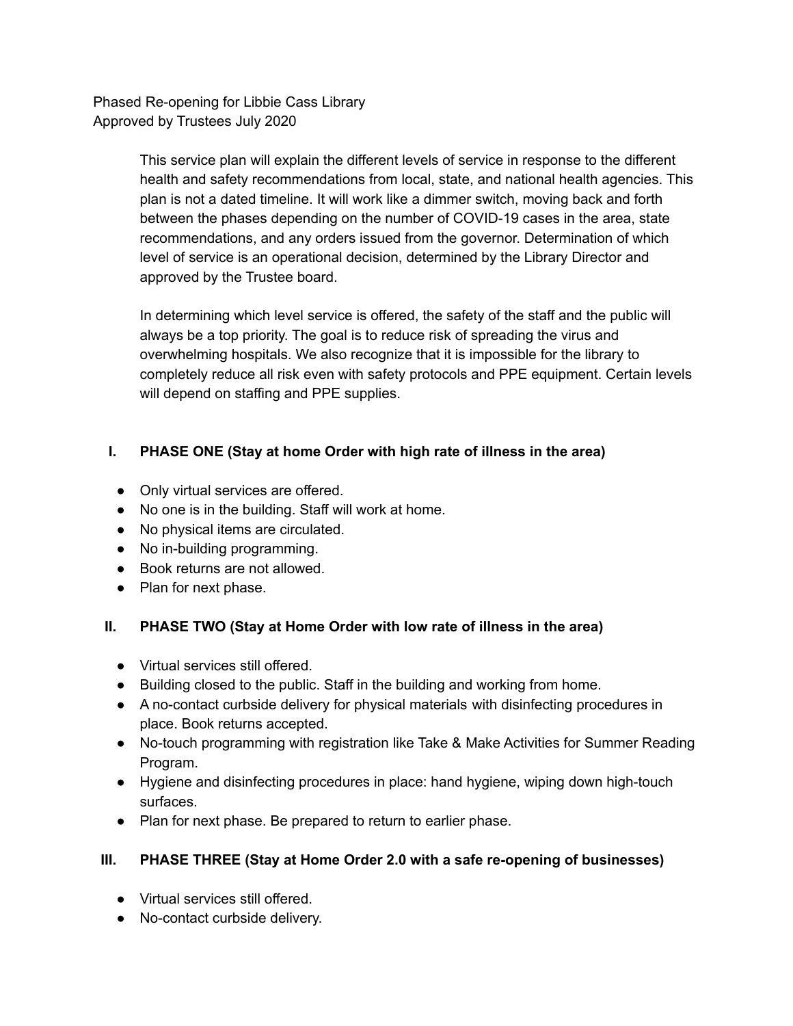Phased Re-opening for Libbie Cass Library Approved by Trustees July 2020

> This service plan will explain the different levels of service in response to the different health and safety recommendations from local, state, and national health agencies. This plan is not a dated timeline. It will work like a dimmer switch, moving back and forth between the phases depending on the number of COVID-19 cases in the area, state recommendations, and any orders issued from the governor. Determination of which level of service is an operational decision, determined by the Library Director and approved by the Trustee board.

> In determining which level service is offered, the safety of the staff and the public will always be a top priority. The goal is to reduce risk of spreading the virus and overwhelming hospitals. We also recognize that it is impossible for the library to completely reduce all risk even with safety protocols and PPE equipment. Certain levels will depend on staffing and PPE supplies.

# **I. PHASE ONE (Stay at home Order with high rate of illness in the area)**

- Only virtual services are offered.
- No one is in the building. Staff will work at home.
- No physical items are circulated.
- No in-building programming.
- Book returns are not allowed.
- Plan for next phase.

### **II. PHASE TWO (Stay at Home Order with low rate of illness in the area)**

- Virtual services still offered.
- Building closed to the public. Staff in the building and working from home.
- A no-contact curbside delivery for physical materials with disinfecting procedures in place. Book returns accepted.
- No-touch programming with registration like Take & Make Activities for Summer Reading Program.
- Hygiene and disinfecting procedures in place: hand hygiene, wiping down high-touch surfaces.
- Plan for next phase. Be prepared to return to earlier phase.

# **III. PHASE THREE (Stay at Home Order 2.0 with a safe re-opening of businesses)**

- Virtual services still offered.
- No-contact curbside delivery.